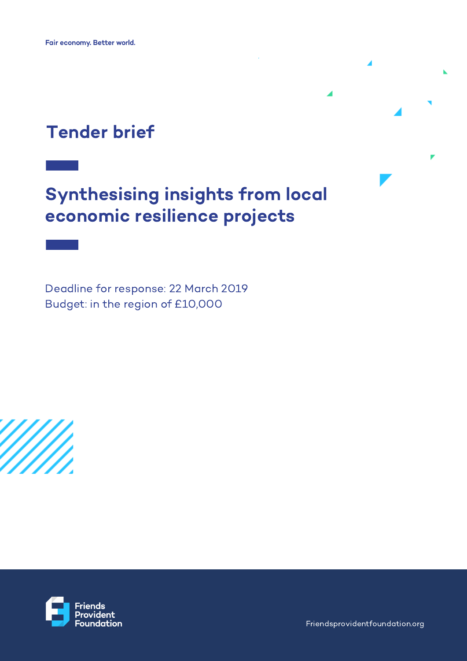## Tender brief

# Synthesising insights from local economic resilience projects

Deadline for response: 22 March 2019 Budget: in the region of £10,000



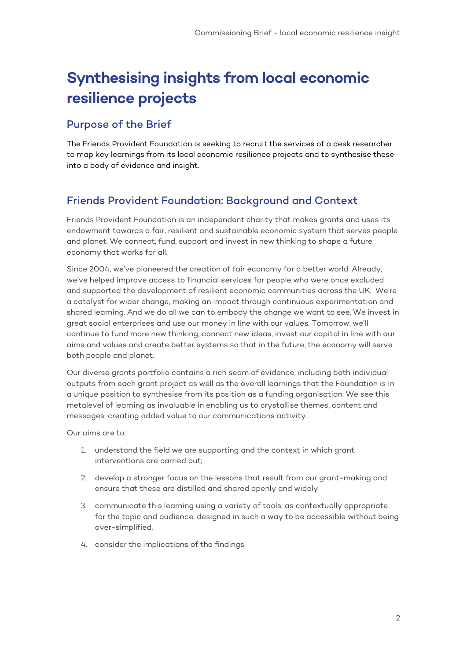## **Synthesising insights from local economic resilience projects**

### Purpose of the Brief

The Friends Provident Foundation is seeking to recruit the services of a desk researcher to map key learnings from its local economic resilience projects and to synthesise these into a body of evidence and insight.

## Friends Provident Foundation: Background and Context

Friends Provident Foundation is an independent charity that makes grants and uses its endowment towards a fair, resilient and sustainable economic system that serves people and planet. We connect, fund, support and invest in new thinking to shape a future economy that works for all.

Since 2004, we've pioneered the creation of fair economy for a better world. Already, we've helped improve access to financial services for people who were once excluded and supported the development of resilient economic communities across the UK. We're a catalyst for wider change, making an impact through continuous experimentation and shared learning. And we do all we can to embody the change we want to see. We invest in great social enterprises and use our money in line with our values. Tomorrow, we'll continue to fund more new thinking, connect new ideas, invest our capital in line with our aims and values and create better systems so that in the future, the economy will serve both people and planet.

Our diverse grants portfolio contains a rich seam of evidence, including both individual outputs from each grant project as well as the overall learnings that the Foundation is in a unique position to synthesise from its position as a funding organisation. We see this metalevel of learning as invaluable in enabling us to crystallise themes, content and messages, creating added value to our communications activity.

Our aims are to:

- 1. understand the field we are supporting and the context in which grant interventions are carried out;
- 2. develop a stronger focus on the lessons that result from our grant-making and ensure that these are distilled and shared openly and widely
- 3. communicate this learning using a variety of tools, as contextually appropriate for the topic and audience, designed in such a way to be accessible without being over-simplified.
- 4. consider the implications of the findings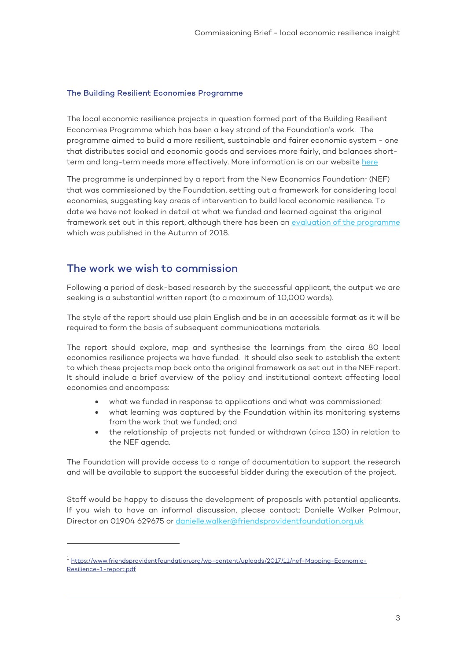#### The Building Resilient Economies Programme

The local economic resilience projects in question formed part of the Building Resilient Economies Programme which has been a key strand of the Foundation's work. The programme aimed to build a more resilient, sustainable and fairer economic system - one that distributes social and economic goods and services more fairly, and balances shortterm and long-term needs more effectively. More information is on our website here

The programme is underpinned by a report from the New Economics Foundation $^1$  (NEF) that was commissioned by the Foundation, setting out a framework for considering local economies, suggesting key areas of intervention to build local economic resilience. To date we have not looked in detail at what we funded and learned against the original framework set out in this report, although there has been an evaluation of the programme which was published in the Autumn of 2018.

#### The work we wish to commission

-

Following a period of desk-based research by the successful applicant, the output we are seeking is a substantial written report (to a maximum of 10,000 words).

The style of the report should use plain English and be in an accessible format as it will be required to form the basis of subsequent communications materials.

The report should explore, map and synthesise the learnings from the circa 80 local economics resilience projects we have funded. It should also seek to establish the extent to which these projects map back onto the original framework as set out in the NEF report. It should include a brief overview of the policy and institutional context affecting local economies and encompass:

- what we funded in response to applications and what was commissioned;
- what learning was captured by the Foundation within its monitoring systems from the work that we funded; and
- the relationship of projects not funded or withdrawn (circa 130) in relation to the NEF agenda.

The Foundation will provide access to a range of documentation to support the research and will be available to support the successful bidder during the execution of the project.

Staff would be happy to discuss the development of proposals with potential applicants. If you wish to have an informal discussion, please contact: Danielle Walker Palmour, Director on 01904 629675 or danielle.walker@friendsprovidentfoundation.org.uk

<sup>1</sup> https://www.friendsprovidentfoundation.org/wp-content/uploads/2017/11/nef-Mapping-Economic-Resilience-1-report.pdf